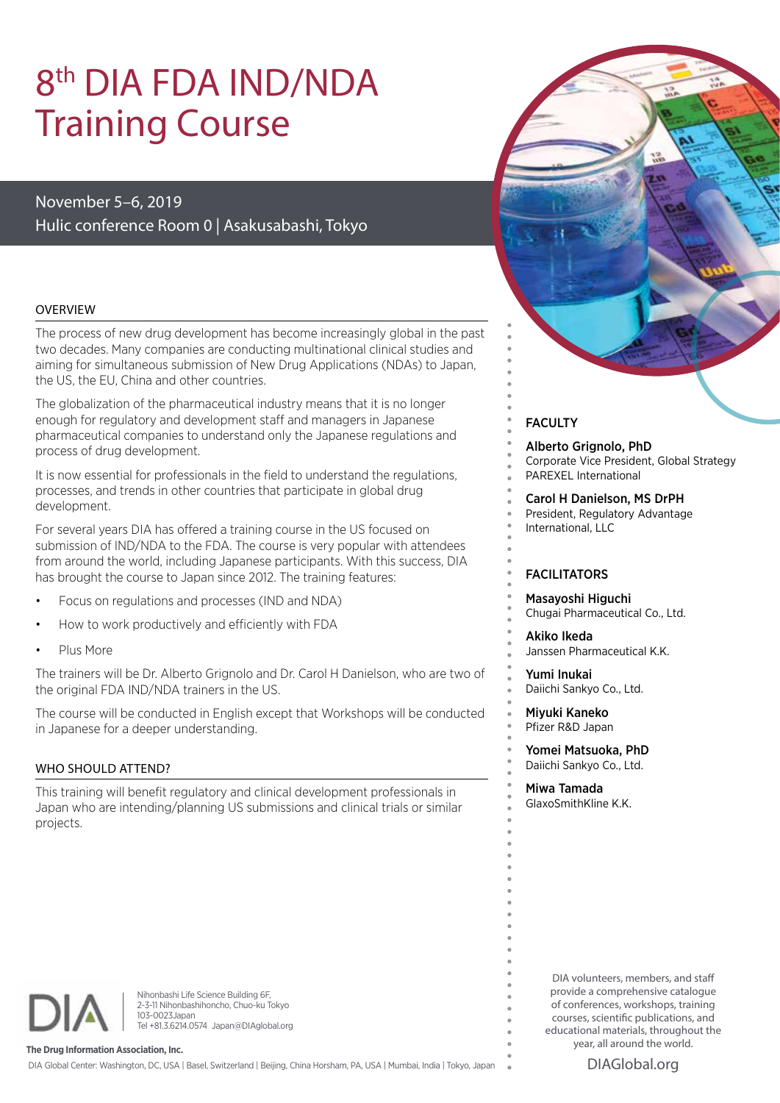# 8th DIA FDA IND/NDA Training Course

# November 5–6, 2019 Hulic conference Room 0 | Asakusabashi, Tokyo

#### OVERVIEW

The process of new drug development has become increasingly global in the past two decades. Many companies are conducting multinational clinical studies and aiming for simultaneous submission of New Drug Applications (NDAs) to Japan, the US, the EU, China and other countries.

The globalization of the pharmaceutical industry means that it is no longer enough for regulatory and development staff and managers in Japanese pharmaceutical companies to understand only the Japanese regulations and process of drug development.

It is now essential for professionals in the field to understand the regulations, processes, and trends in other countries that participate in global drug development.

For several years DIA has offered a training course in the US focused on submission of IND/NDA to the FDA. The course is very popular with attendees from around the world, including Japanese participants. With this success, DIA has brought the course to Japan since 2012. The training features:

- Focus on regulations and processes (IND and NDA)
- How to work productively and efficiently with FDA
- Plus More

The trainers will be Dr. Alberto Grignolo and Dr. Carol H Danielson, who are two of the original FDA IND/NDA trainers in the US.

The course will be conducted in English except that Workshops will be conducted in Japanese for a deeper understanding.

#### WHO SHOULD ATTEND?

This training will benefit regulatory and clinical development professionals in Japan who are intending/planning US submissions and clinical trials or similar projects.



### **FACULTY**

Alberto Grignolo, PhD Corporate Vice President, Global Strategy PAREXEL International

Carol H Danielson, MS DrPH President, Regulatory Advantage International, LLC

### FACILITATORS

Masayoshi Higuchi Chugai Pharmaceutical Co., Ltd.

Akiko Ikeda Janssen Pharmaceutical K.K.

Yumi Inukai Daiichi Sankyo Co., Ltd.

Miyuki Kaneko Pfizer R&D Japan

Yomei Matsuoka, PhD Daiichi Sankyo Co., Ltd.

#### Miwa Tamada GlaxoSmithKline K.K.

Nihonbashi Life Science Building 6F, 2-3-11 Nihonbashihoncho, Chuo-ku Tokyo 103-0023Japan Tel +81.3.6214.0574 Japan@DIAglobal.org

**The Drug Information Association, Inc.**

DIA Global Center: Washington, DC, USA | Basel, Switzerland | Beijing, China Horsham, PA, USA | Mumbai, India | Tokyo, Japan

DIA volunteers, members, and staff provide a comprehensive catalogue of conferences, workshops, training courses, scientific publications, and educational materials, throughout the year, all around the world.

DIAGlobal.org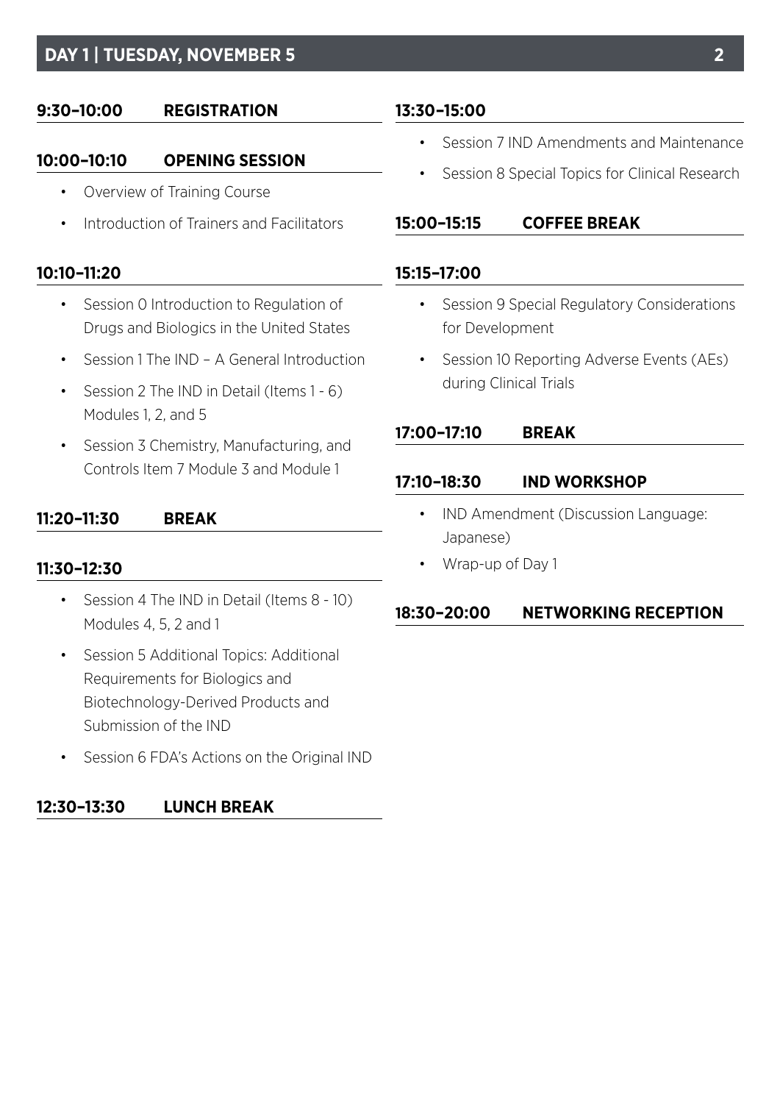# **DAY 1 | TUESDAY, NOVEMBER 5**

# **9:30–10:00 REGISTRATION**

## **10:00–10:10 OPENING SESSION**

- Overview of Training Course
- Introduction of Trainers and Facilitators

## **10:10–11:20**

- Session 0 Introduction to Regulation of Drugs and Biologics in the United States
- Session 1 The IND A General Introduction
- Session 2 The IND in Detail (Items 1 6) Modules 1, 2, and 5
- Session 3 Chemistry, Manufacturing, and Controls Item 7 Module 3 and Module 1

## **11:20–11:30 BREAK**

### **11:30–12:30**

- Session 4 The IND in Detail (Items 8 10) Modules 4, 5, 2 and 1
- Session 5 Additional Topics: Additional Requirements for Biologics and Biotechnology-Derived Products and Submission of the IND
- Session 6 FDA's Actions on the Original IND

# **12:30–13:30 LUNCH BREAK**

# **13:30–15:00**

- Session 7 IND Amendments and Maintenance
- Session 8 Special Topics for Clinical Research

### **15:00–15:15 COFFEE BREAK**

### **15:15–17:00**

- Session 9 Special Regulatory Considerations for Development
- Session 10 Reporting Adverse Events (AEs) during Clinical Trials

### **17:00–17:10 BREAK**

### **17:10–18:30 IND WORKSHOP**

- IND Amendment (Discussion Language: Japanese)
- Wrap-up of Day 1

# **18:30–20:00 NETWORKING RECEPTION**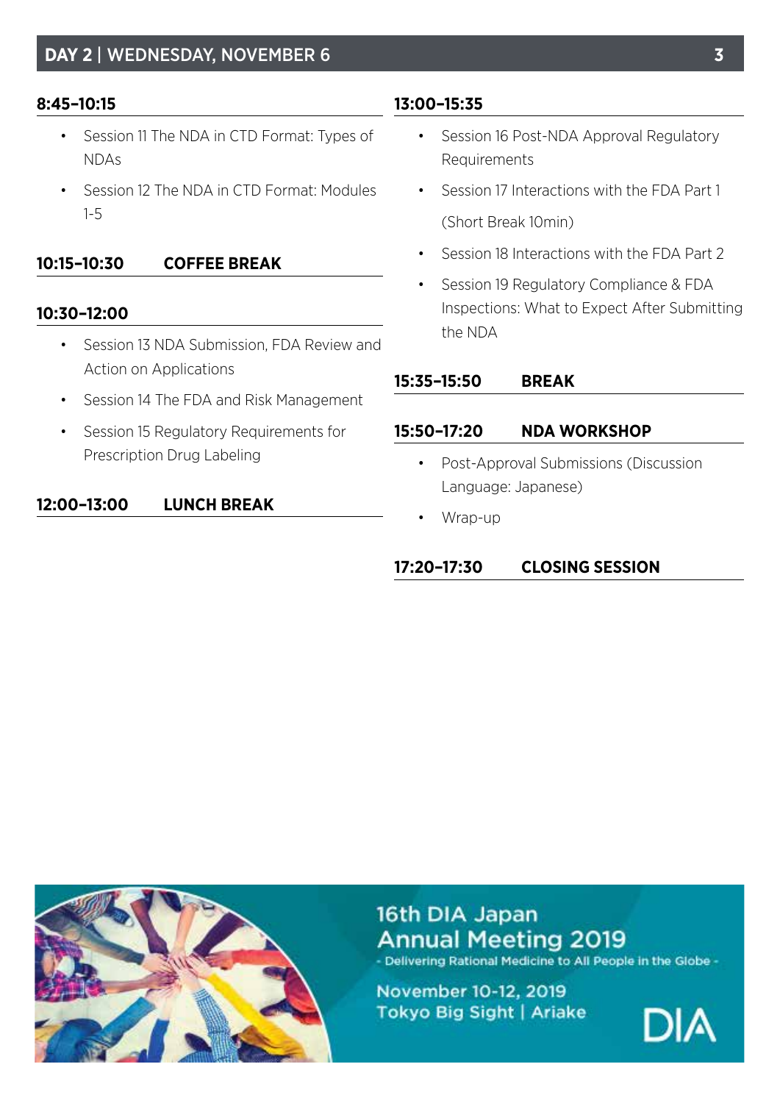# **8:45–10:15**

- Session 11 The NDA in CTD Format: Types of NDAs
- Session 12 The NDA in CTD Format: Modules 1-5

# **10:15–10:30 COFFEE BREAK**

# **10:30–12:00**

- Session 13 NDA Submission, FDA Review and Action on Applications
- Session 14 The FDA and Risk Management
- Session 15 Regulatory Requirements for Prescription Drug Labeling

# **12:00–13:00 LUNCH BREAK**

### **13:00–15:35**

- Session 16 Post-NDA Approval Regulatory Requirements
- Session 17 Interactions with the FDA Part 1 (Short Break 10min)
- Session 18 Interactions with the FDA Part 2
- Session 19 Regulatory Compliance & FDA Inspections: What to Expect After Submitting the NDA

### **15:35–15:50 BREAK**

### **15:50–17:20 NDA WORKSHOP**

- Post-Approval Submissions (Discussion Language: Japanese)
- Wrap-up

# **17:20–17:30 CLOSING SESSION**



16th DIA Japan **Annual Meeting 2019** - Delivering Rational Medicine to All People in the Globe -

November 10-12, 2019 Tokyo Big Sight | Ariake

DIA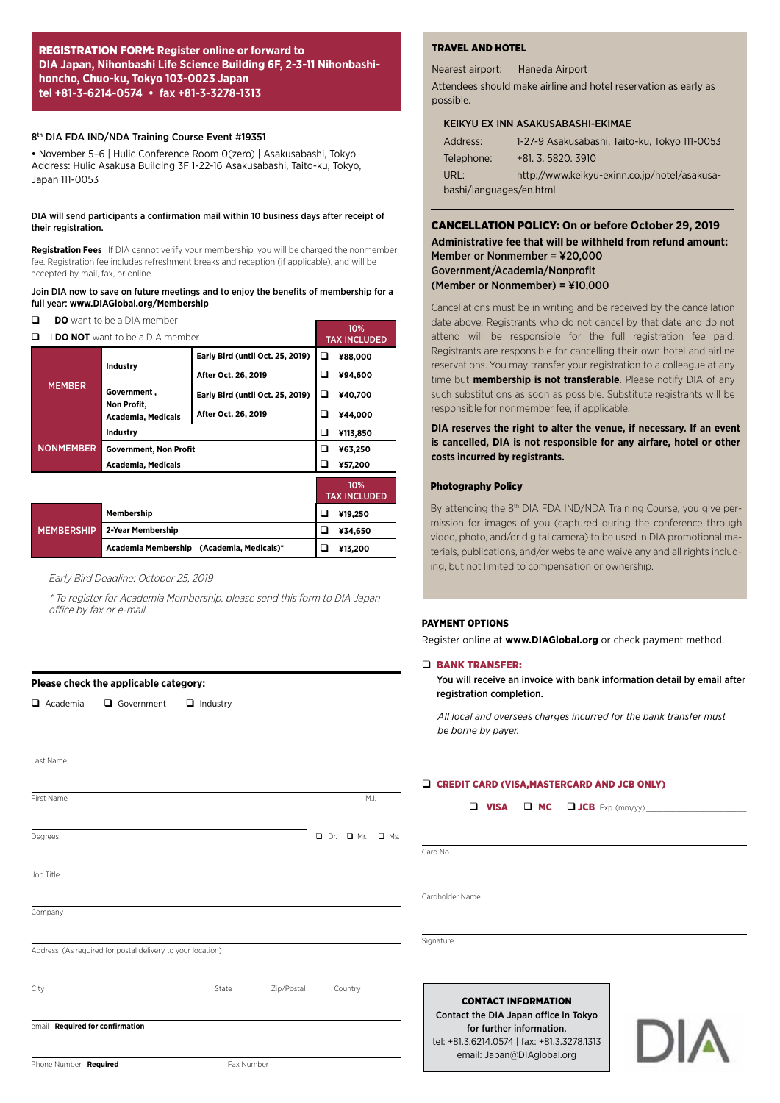#### REGISTRATION FORM: **Register online or forward to DIA Japan, Nihonbashi Life Science Building 6F, 2-3-11 Nihonbashihoncho, Chuo-ku, Tokyo 103-0023 Japan tel +81-3-6214-0574 • fax +81-3-3278-1313**

#### 8<sup>th</sup> DIA FDA IND/NDA Training Course Event #19351

• November 5–6 | Hulic Conference Room 0(zero) | Asakusabashi, Tokyo Address: Hulic Asakusa Building 3F 1-22-16 Asakusabashi, Taito-ku, Tokyo, Japan 111-0053

#### DIA will send participants a confirmation mail within 10 business days after receipt of their registration.

**Registration Fees**  If DIA cannot verify your membership, you will be charged the nonmember fee. Registration fee includes refreshment breaks and reception (if applicable), and will be accepted by mail, fax, or online.

#### Join DIA now to save on future meetings and to enjoy the benefits of membership for a full year: **www.DIAGlobal.org/Membership**

**Q IDO** want to be a DIA member

| I <b>DO NOT</b> want to be a DIA member |                                                         |                                         |   | 10%<br><b>TAX INCLUDED</b> |  |
|-----------------------------------------|---------------------------------------------------------|-----------------------------------------|---|----------------------------|--|
| <b>MEMBER</b>                           |                                                         | <b>Early Bird (until Oct. 25, 2019)</b> |   | ¥88,000                    |  |
|                                         | Industry                                                | After Oct. 26, 2019                     |   | ¥94,600                    |  |
|                                         | Government,<br>Non Profit,<br><b>Academia, Medicals</b> | Early Bird (until Oct. 25, 2019)        |   | ¥40,700                    |  |
|                                         |                                                         | After Oct. 26, 2019                     | ◻ | ¥44,000                    |  |
| <b>NONMEMBER</b>                        | Industry                                                |                                         |   | ¥113,850                   |  |
|                                         | <b>Government, Non Profit</b>                           |                                         |   | ¥63,250                    |  |
|                                         | <b>Academia, Medicals</b>                               |                                         | ◻ | ¥57,200                    |  |
|                                         |                                                         |                                         |   | 10%<br><b>TAX INCLUDED</b> |  |
|                                         | Membership                                              |                                         | ◻ | ¥19,250                    |  |
| <b>MEMBERSHIP</b>                       | 2-Year Membership                                       |                                         |   | ¥34,650                    |  |
|                                         | Academia Membership                                     | (Academia, Medicals)*                   | ◻ | ¥13,200                    |  |

#### Early Bird Deadline: October 25, 2019

\* To register for Academia Membership, please send this form to DIA Japan office by fax or e-mail.

First Name M.I. And the set of the set of the set of the set of the set of the set of the set of the set of the set of the set of the set of the set of the set of the set of the set of the set of the set of the set of the

City **State Zip/Postal Country** Country

Degrees **Degrees Degrees COMPUTE 2018** 

#### **Please check the applicable category:**

Last Name

Job Title

**Company** 

 $\Box$  Academia  $\Box$  Government  $\Box$  Industry

Address (As required for postal delivery to your location)

#### TRAVEL AND HOTEL

Nearest airport: Haneda Airport

Attendees should make airline and hotel reservation as early as possible.

#### KEIKYU EX INN ASAKUSABASHI-EKIMAE

| Address:                | 1-27-9 Asakusabashi, Taito-ku, Tokyo 111-0053 |  |  |  |  |
|-------------------------|-----------------------------------------------|--|--|--|--|
| Telephone:              | $+81.3.5820.3910$                             |  |  |  |  |
| URL:                    | http://www.keikyu-exinn.co.ip/hotel/asakusa-  |  |  |  |  |
| bashi/languages/en.html |                                               |  |  |  |  |

#### CANCELLATION POLICY: **On or before October 29, 2019 Administrative fee that will be withheld from refund amount:**  Member or Nonmember = ¥20,000 Government/Academia/Nonprofit (Member or Nonmember) = ¥10,000

Cancellations must be in writing and be received by the cancellation date above. Registrants who do not cancel by that date and do not attend will be responsible for the full registration fee paid. Registrants are responsible for cancelling their own hotel and airline reservations. You may transfer your registration to a colleague at any time but **membership is not transferable**. Please notify DIA of any such substitutions as soon as possible. Substitute registrants will be responsible for nonmember fee, if applicable.

#### **DIA reserves the right to alter the venue, if necessary. If an event is cancelled, DIA is not responsible for any airfare, hotel or other costs incurred by registrants.**

#### Photography Policy

By attending the 8<sup>th</sup> DIA FDA IND/NDA Training Course, you give permission for images of you (captured during the conference through video, photo, and/or digital camera) to be used in DIA promotional materials, publications, and/or website and waive any and all rights including, but not limited to compensation or ownership.

#### PAYMENT OPTIONS

Register online at **www.DIAGlobal.org** or check payment method.

#### **Q BANK TRANSFER:**

You will receive an invoice with bank information detail by email after registration completion.

*All local and overseas charges incurred for the bank transfer must be borne by payer.*

#### D CREDIT CARD (VISA,MASTERCARD AND JCB ONLY)

 $\Box$  VISA  $\Box$  MC  $\Box$  JCB Exp. (mm/yy)

Card No.

Cardholder Name

**Signature** 

#### CONTACT INFORMATION

Contact the DIA Japan office in Tokyo for further information. tel: +81.3.6214.0574 | fax: +81.3.3278.1313 email: Japan@DIAglobal.org



Phone Number **Required** Fax Number

email **Required for confirmation**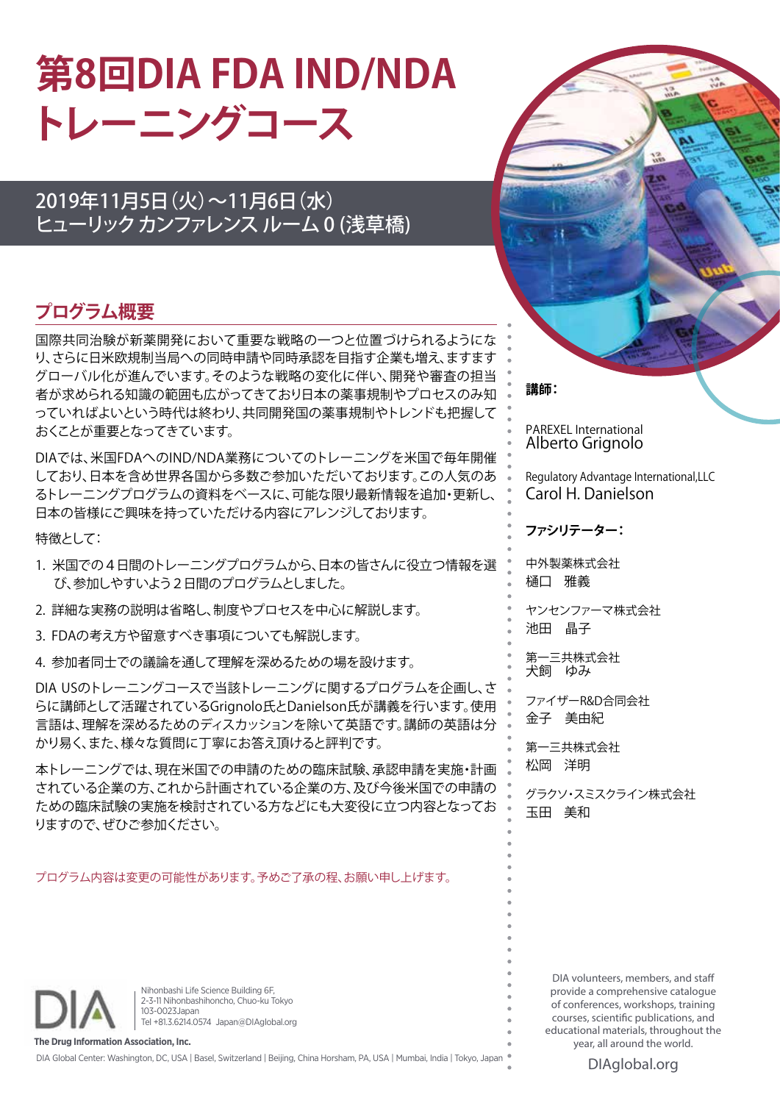# **第8回DIA FDA IND/NDA トレーニングコース**

# 2019年11月5日(火)~11月6日(水) ヒューリック カンファレンス ルーム 0 (浅草橋)

# **プログラム概要**

国際共同治験が新薬開発において重要な戦略の一つと位置づけられるようにな り、さらに日米欧規制当局への同時申請や同時承認を目指す企業も増え、ますます グローバル化が進んでいます。そのような戦略の変化に伴い、開発や審査の担当 者が求められる知識の範囲も広がってきており日本の薬事規制やプロセスのみ知 っていればよいという時代は終わり、共同開発国の薬事規制やトレンドも把握して おくことが重要となってきています。

DIAでは、米国FDAへのIND/NDA業務についてのトレーニングを米国で毎年開催 しており、日本を含め世界各国から多数ご参加いただいております。この人気のあ るトレーニングプログラムの資料をベースに、可能な限り最新情報を追加・更新し、 日本の皆様にご興味を持っていただける内容にアレンジしております。

特徴として:

- 1. 米国での4日間のトレーニングプログラムから、日本の皆さんに役立つ情報を選 び、参加しやすいよう2日間のプログラムとしました。
- 2. 詳細な実務の説明は省略し、制度やプロセスを中心に解説します。
- 3. FDAの考え方や留意すべき事項についても解説します。
- 4. 参加者同士での議論を通して理解を深めるための場を設けます。

DIA USのトレーニングコースで当該トレーニングに関するプログラムを企画し、さ らに講師として活躍されているGrignolo氏とDanielson氏が講義を行います。使用 言語は、理解を深めるためのディスカッションを除いて英語です。講師の英語は分 かり易く、また、様々な質問に丁寧にお答え頂けると評判です。

本トレーニングでは、現在米国での申請のための臨床試験、承認申請を実施・計画 されている企業の方、これから計画されている企業の方、及び今後米国での申請の ための臨床試験の実施を検討されている方などにも大変役に立つ内容となってお りますので、ぜひご参加ください。

プログラム内容は変更の可能性があります。予めご了承の程、お願い申し上げます。



**講師:**

PAREXEL International Alberto Grignolo

Regulatory Advantage International,LLC Carol H. Danielson

**ファシリテーター:**

中外製薬株式会社 樋口 雅義

ヤンセンファーマ株式会社 池田 晶子

第一三共株式会社 犬飼 ゆみ

ファイザーR&D合同会社 金子 美由紀

第一三共株式会社 松岡 洋明

グラクソ・スミスクライン株式会社 玉田 美和

Nihonbashi Life Science Building 6F, 2-3-11 Nihonbashihoncho, Chuo-ku Tokyo 103-0023Japan Tel +81.3.6214.0574 Japan@DIAglobal.org

**The Drug Information Association, Inc.** DIA Global Center: Washington, DC, USA | Basel, Switzerland | Beijing, China Horsham, PA, USA | Mumbai, India | Tokyo, Japan

provide a comprehensive catalogue of conferences, workshops, training courses, scientific publications, and educational materials, throughout the year, all around the world.

DIA volunteers, members, and staff

DIAglobal.org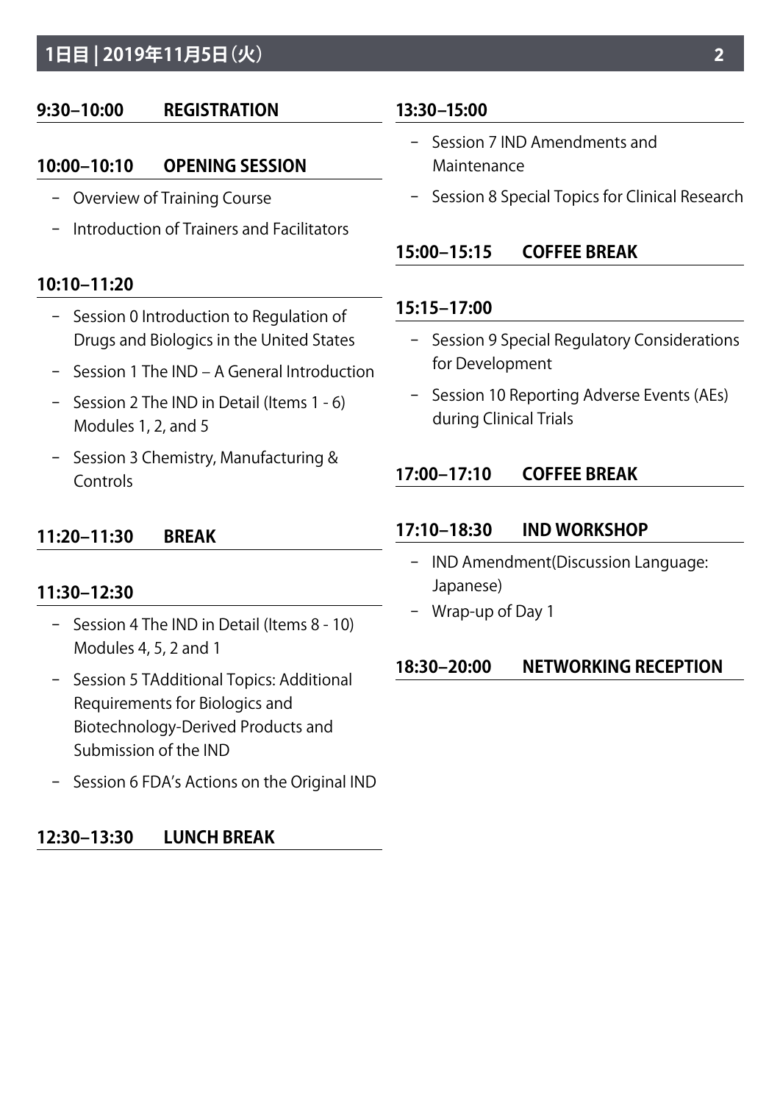# **1日目 | 2019年11月5日(火)**

# **9:30–10:00 REGISTRATION**

# **10:00–10:10 OPENING SESSION**

- − Overview of Training Course
- − Introduction of Trainers and Facilitators

# **10:10–11:20**

- − Session 0 Introduction to Regulation of Drugs and Biologics in the United States
- − Session 1 The IND A General Introduction
- − Session 2 The IND in Detail (Items 1 6) Modules 1, 2, and 5
- − Session 3 Chemistry, Manufacturing & **Controls**

# **11:20–11:30 BREAK**

# **11:30–12:30**

- − Session 4 The IND in Detail (Items 8 10) Modules 4, 5, 2 and 1
- − Session 5 TAdditional Topics: Additional Requirements for Biologics and Biotechnology-Derived Products and Submission of the IND
- − Session 6 FDA's Actions on the Original IND

# **12:30–13:30 LUNCH BREAK**

# **13:30–15:00**

- − Session 7 IND Amendments and Maintenance
- − Session 8 Special Topics for Clinical Research

# **15:00–15:15 COFFEE BREAK**

# **15:15–17:00**

- − Session 9 Special Regulatory Considerations for Development
- − Session 10 Reporting Adverse Events (AEs) during Clinical Trials

# **17:00–17:10 COFFEE BREAK**

# **17:10–18:30 IND WORKSHOP**

- − IND Amendment(Discussion Language: Japanese)
- − Wrap-up of Day 1

# **18:30–20:00 NETWORKING RECEPTION**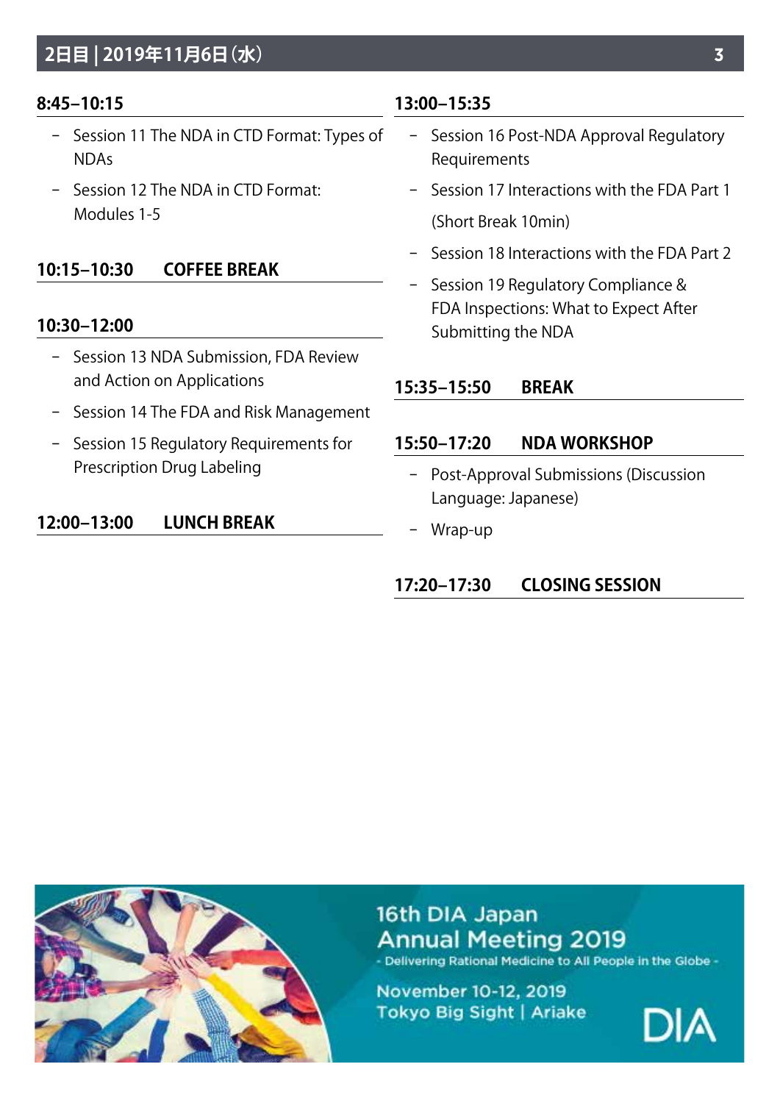# **2日目 | 2019年11月6日(水)**

### **8:45–10:15**

- − Session 11 The NDA in CTD Format: Types of NDAs
- − Session 12 The NDA in CTD Format: Modules 1-5

# **10:15–10:30 COFFEE BREAK**

### **10:30–12:00**

- − Session 13 NDA Submission, FDA Review and Action on Applications
- − Session 14 The FDA and Risk Management
- − Session 15 Regulatory Requirements for Prescription Drug Labeling

## **12:00–13:00 LUNCH BREAK**

### **13:00–15:35**

- − Session 16 Post-NDA Approval Regulatory Requirements
- − Session 17 Interactions with the FDA Part 1 (Short Break 10min)
- − Session 18 Interactions with the FDA Part 2
- − Session 19 Regulatory Compliance & FDA Inspections: What to Expect After Submitting the NDA

### **15:35–15:50 BREAK**

### **15:50–17:20 NDA WORKSHOP**

- − Post-Approval Submissions (Discussion Language: Japanese)
- − Wrap-up

# **17:20–17:30 CLOSING SESSION**



16th DIA Japan **Annual Meeting 2019** - Delivering Rational Medicine to All People in the Globe -

November 10-12, 2019 Tokyo Big Sight | Ariake

DIA